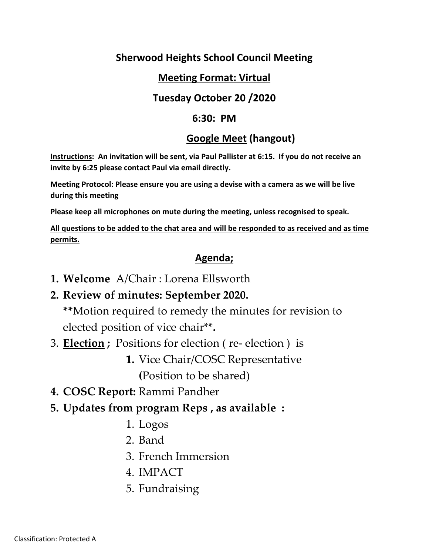## **Sherwood Heights School Council Meeting**

#### **Meeting Format: Virtual**

#### **Tuesday October 20 /2020**

#### **6:30: PM**

#### **Google Meet (hangout)**

**Instructions: An invitation will be sent, via Paul Pallister at 6:15. If you do not receive an invite by 6:25 please contact Paul via email directly.**

**Meeting Protocol: Please ensure you are using a devise with a camera as we will be live during this meeting**

**Please keep all microphones on mute during the meeting, unless recognised to speak.**

**All questions to be added to the chat area and will be responded to as received and as time permits.**

## **Agenda;**

- **1. Welcome** A/Chair : Lorena Ellsworth
- **2. Review of minutes: September 2020.**

**\*\***Motion required to remedy the minutes for revision to elected position of vice chair\*\***.** 

- 3. **Election ;** Positions for election ( re- election ) is
	- **1.** Vice Chair/COSC Representative **(**Position to be shared)
- **4. COSC Report:** Rammi Pandher
- **5. Updates from program Reps , as available :** 
	- 1. Logos
	- 2. Band
	- 3. French Immersion
	- 4. IMPACT
	- 5. Fundraising